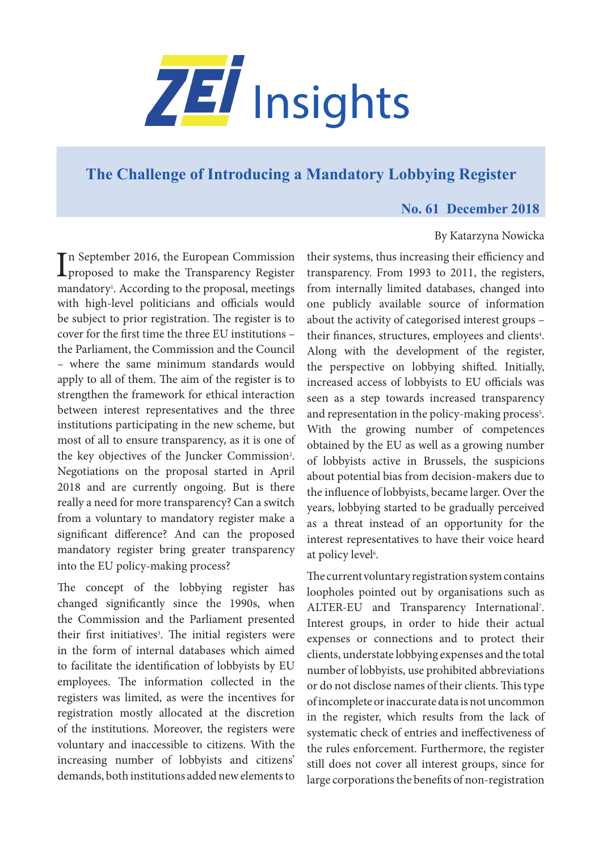

# **[The Challenge of Introducing a Mandatory Lobbying Register](https://www.zei.uni-bonn.de/publications/zei-insights)**

## **No. 61 December 2018**

## By Katarzyna Nowicka

In September 2016, the European Commission<br>proposed to make the Transparency Register n September 2016, the European Commission mandatory1 . According to the proposal, meetings with high-level politicians and officials would be subject to prior registration. The register is to cover for the first time the three EU institutions – the Parliament, the Commission and the Council – where the same minimum standards would apply to all of them. The aim of the register is to strengthen the framework for ethical interaction between interest representatives and the three institutions participating in the new scheme, but most of all to ensure transparency, as it is one of the key objectives of the Juncker Commission<sup>2</sup>. Negotiations on the proposal started in April 2018 and are currently ongoing. But is there really a need for more transparency? Can a switch from a voluntary to mandatory register make a significant difference? And can the proposed mandatory register bring greater transparency into the EU policy-making process?

The concept of the lobbying register has changed significantly since the 1990s, when the Commission and the Parliament presented their first initiatives<sup>3</sup>. The initial registers were in the form of internal databases which aimed to facilitate the identification of lobbyists by EU employees. The information collected in the registers was limited, as were the incentives for registration mostly allocated at the discretion of the institutions. Moreover, the registers were voluntary and inaccessible to citizens. With the increasing number of lobbyists and citizens' demands, both institutions added new elements to

their systems, thus increasing their efficiency and transparency. From 1993 to 2011, the registers, from internally limited databases, changed into one publicly available source of information about the activity of categorised interest groups – their finances, structures, employees and clients<sup>4</sup>. Along with the development of the register, the perspective on lobbying shifted. Initially, increased access of lobbyists to EU officials was seen as a step towards increased transparency and representation in the policy-making process<sup>5</sup>. With the growing number of competences obtained by the EU as well as a growing number of lobbyists active in Brussels, the suspicions about potential bias from decision-makers due to the influence of lobbyists, became larger. Over the years, lobbying started to be gradually perceived as a threat instead of an opportunity for the interest representatives to have their voice heard at policy level<sup>6</sup>.

The current voluntary registration system contains loopholes pointed out by organisations such as ALTER-EU and Transparency International<sup>7</sup>. Interest groups, in order to hide their actual expenses or connections and to protect their clients, understate lobbying expenses and the total number of lobbyists, use prohibited abbreviations or do not disclose names of their clients. This type of incomplete or inaccurate data is not uncommon in the register, which results from the lack of systematic check of entries and ineffectiveness of the rules enforcement. Furthermore, the register still does not cover all interest groups, since for large corporations the benefits of non-registration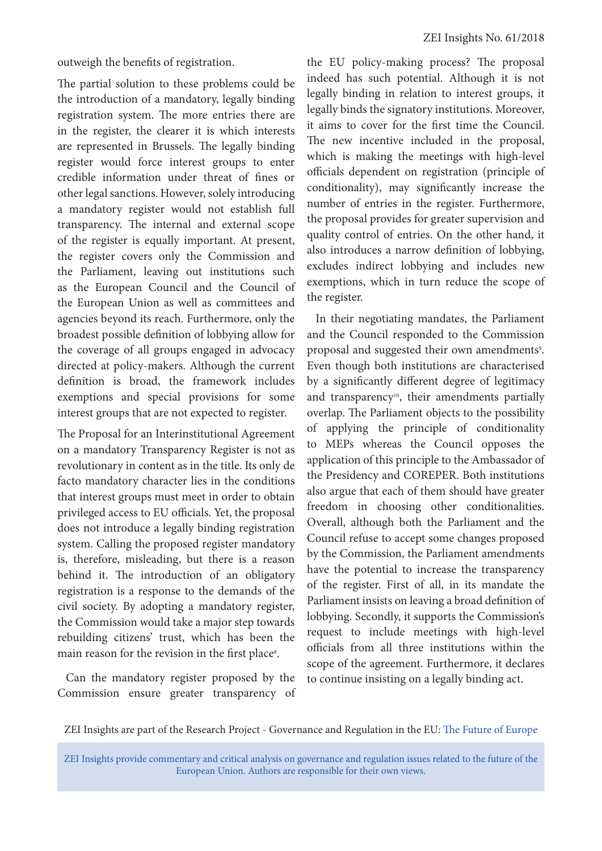outweigh the benefits of registration.

The partial solution to these problems could be the introduction of a mandatory, legally binding registration system. The more entries there are in the register, the clearer it is which interests are represented in Brussels. The legally binding register would force interest groups to enter credible information under threat of fines or other legal sanctions. However, solely introducing a mandatory register would not establish full transparency. The internal and external scope of the register is equally important. At present, the register covers only the Commission and the Parliament, leaving out institutions such as the European Council and the Council of the European Union as well as committees and agencies beyond its reach. Furthermore, only the broadest possible definition of lobbying allow for the coverage of all groups engaged in advocacy directed at policy-makers. Although the current definition is broad, the framework includes exemptions and special provisions for some interest groups that are not expected to register.

The Proposal for an Interinstitutional Agreement on a mandatory Transparency Register is not as revolutionary in content as in the title. Its only de facto mandatory character lies in the conditions that interest groups must meet in order to obtain privileged access to EU officials. Yet, the proposal does not introduce a legally binding registration system. Calling the proposed register mandatory is, therefore, misleading, but there is a reason behind it. The introduction of an obligatory registration is a response to the demands of the civil society. By adopting a mandatory register, the Commission would take a major step towards rebuilding citizens' trust, which has been the main reason for the revision in the first place<sup>s</sup>.

Can the mandatory register proposed by the Commission ensure greater transparency of the EU policy-making process? The proposal indeed has such potential. Although it is not legally binding in relation to interest groups, it legally binds the signatory institutions. Moreover, it aims to cover for the first time the Council. The new incentive included in the proposal, which is making the meetings with high-level officials dependent on registration (principle of conditionality), may significantly increase the number of entries in the register. Furthermore, the proposal provides for greater supervision and quality control of entries. On the other hand, it also introduces a narrow definition of lobbying, excludes indirect lobbying and includes new exemptions, which in turn reduce the scope of the register.

In their negotiating mandates, the Parliament and the Council responded to the Commission proposal and suggested their own amendments<sup>9</sup>. Even though both institutions are characterised by a significantly different degree of legitimacy and transparency<sup>10</sup>, their amendments partially overlap. The Parliament objects to the possibility of applying the principle of conditionality to MEPs whereas the Council opposes the application of this principle to the Ambassador of the Presidency and COREPER. Both institutions also argue that each of them should have greater freedom in choosing other conditionalities. Overall, although both the Parliament and the Council refuse to accept some changes proposed by the Commission, the Parliament amendments have the potential to increase the transparency of the register. First of all, in its mandate the Parliament insists on leaving a broad definition of lobbying. Secondly, it supports the Commission's request to include meetings with high-level officials from all three institutions within the scope of the agreement. Furthermore, it declares to continue insisting on a legally binding act.

ZEI Insights are part of the Research Project - Governance and Regulation in the EU: [The Future of Europe](https://www.zei.uni-bonn.de/research/governance-and-regulation?set_language=en)

ZEI Insights provide commentary and critical analysis on governance and regulation issues related to the future of the European Union. Authors are responsible for their own views.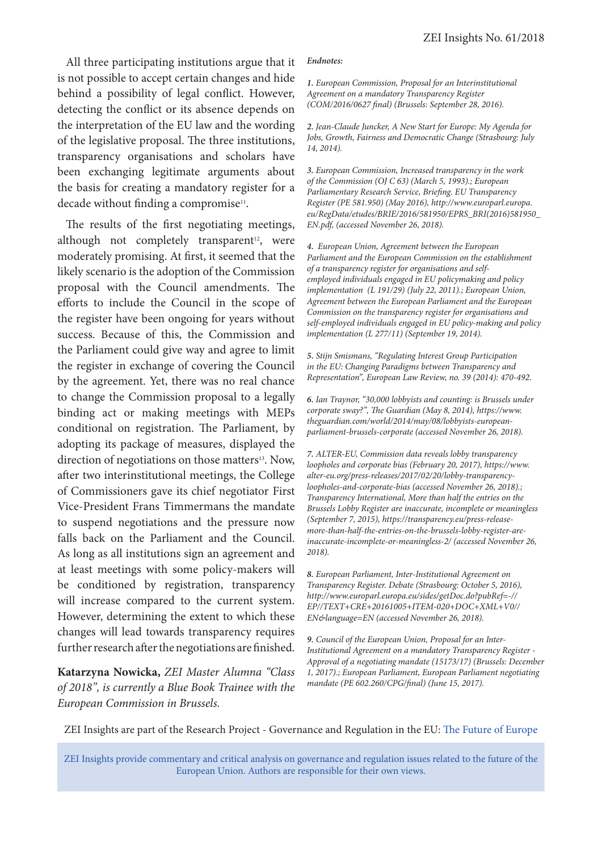All three participating institutions argue that it is not possible to accept certain changes and hide behind a possibility of legal conflict. However, detecting the conflict or its absence depends on the interpretation of the EU law and the wording of the legislative proposal. The three institutions, transparency organisations and scholars have been exchanging legitimate arguments about the basis for creating a mandatory register for a decade without finding a compromise<sup>11</sup>.

The results of the first negotiating meetings, although not completely transparent<sup>12</sup>, were moderately promising. At first, it seemed that the likely scenario is the adoption of the Commission proposal with the Council amendments. The efforts to include the Council in the scope of the register have been ongoing for years without success. Because of this, the Commission and the Parliament could give way and agree to limit the register in exchange of covering the Council by the agreement. Yet, there was no real chance to change the Commission proposal to a legally binding act or making meetings with MEPs conditional on registration. The Parliament, by adopting its package of measures, displayed the direction of negotiations on those matters<sup>13</sup>. Now, after two interinstitutional meetings, the College of Commissioners gave its chief negotiator First Vice-President Frans Timmermans the mandate to suspend negotiations and the pressure now falls back on the Parliament and the Council. As long as all institutions sign an agreement and at least meetings with some policy-makers will be conditioned by registration, transparency will increase compared to the current system. However, determining the extent to which these changes will lead towards transparency requires further research after the negotiations are finished.

**Katarzyna Nowicka,** *ZEI Master Alumna "Class of 2018", is currently a Blue Book Trainee with the European Commission in Brussels.*

### *Endnotes:*

*1. European Commission, Proposal for an Interinstitutional Agreement on a mandatory Transparency Register (COM/2016/0627 final) (Brussels: September 28, 2016).*

*2. Jean-Claude Juncker, A New Start for Europe: My Agenda for Jobs, Growth, Fairness and Democratic Change (Strasbourg: July 14, 2014).*

*3. European Commission, Increased transparency in the work of the Commission (OJ C 63) (March 5, 1993).; European Parliamentary Research Service, Briefing. EU Transparency Register (PE 581.950) (May 2016), http://www.europarl.europa. eu/RegData/etudes/BRIE/2016/581950/EPRS\_BRI(2016)581950\_ EN.pdf, (accessed November 26, 2018).*

*4. European Union, Agreement between the European Parliament and the European Commission on the establishment of a transparency register for organisations and selfemployed individuals engaged in EU policymaking and policy implementation (L 191/29) (July 22, 2011).; European Union, Agreement between the European Parliament and the European Commission on the transparency register for organisations and self-employed individuals engaged in EU policy-making and policy implementation (L 277/11) (September 19, 2014).*

*5. Stijn Smismans, "Regulating Interest Group Participation in the EU: Changing Paradigms between Transparency and Representation", European Law Review, no. 39 (2014): 470-492.*

*6. Ian Traynor, "30,000 lobbyists and counting: is Brussels under corporate sway?", The Guardian (May 8, 2014), https://www. theguardian.com/world/2014/may/08/lobbyists-europeanparliament-brussels-corporate (accessed November 26, 2018).*

*7. ALTER-EU, Commission data reveals lobby transparency loopholes and corporate bias (February 20, 2017), https://www. alter-eu.org/press-releases/2017/02/20/lobby-transparencyloopholes-and-corporate-bias (accessed November 26, 2018).; Transparency International, More than half the entries on the Brussels Lobby Register are inaccurate, incomplete or meaningless (September 7, 2015), https://transparency.eu/press-releasemore-than-half-the-entries-on-the-brussels-lobby-register-areinaccurate-incomplete-or-meaningless-2/ (accessed November 26, 2018).*

*8. European Parliament, Inter-Institutional Agreement on Transparency Register. Debate (Strasbourg: October 5, 2016), http://www.europarl.europa.eu/sides/getDoc.do?pubRef=-// EP//TEXT+CRE+20161005+ITEM-020+DOC+XML+V0// EN&language=EN (accessed November 26, 2018).*

*9. Council of the European Union, Proposal for an Inter-Institutional Agreement on a mandatory Transparency Register - Approval of a negotiating mandate (15173/17) (Brussels: December 1, 2017).; European Parliament, European Parliament negotiating mandate (PE 602.260/CPG/final) (June 15, 2017).*

ZEI Insights are part of the Research Project - Governance and Regulation in the EU: [The Future of Europe](https://www.zei.uni-bonn.de/research/governance-and-regulation?set_language=en)

ZEI Insights provide commentary and critical analysis on governance and regulation issues related to the future of the European Union. Authors are responsible for their own views.